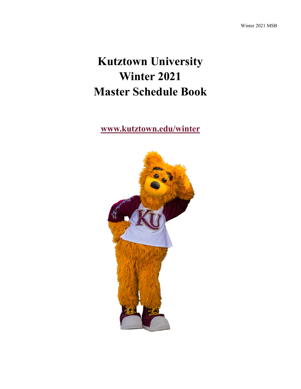# **Kutztown University Winter 2021 Master Schedule Book**

**[www.kutztown.edu/winter](file:///C:/Users/walton/Documents/Baby)**

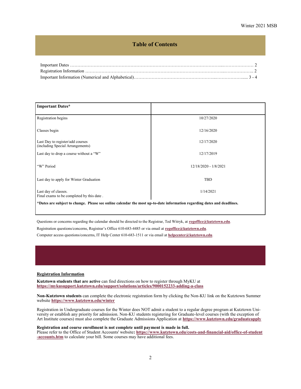### **Table of Contents**

<span id="page-1-0"></span>

| <b>Important Dates*</b>                                                                                                 |                       |  |  |  |  |
|-------------------------------------------------------------------------------------------------------------------------|-----------------------|--|--|--|--|
| Registration begins                                                                                                     | 10/27/2020            |  |  |  |  |
| Classes begin                                                                                                           | 12/16/2020            |  |  |  |  |
| Last Day to register/add courses<br>(including Special Arrangements)                                                    | 12/17/2020            |  |  |  |  |
| Last day to drop a course without a "W"                                                                                 | 12/17/2019            |  |  |  |  |
| "W" Period                                                                                                              | 12/18/2020 - 1/8/2021 |  |  |  |  |
| <b>TBD</b><br>Last day to apply for Winter Graduation                                                                   |                       |  |  |  |  |
| Last day of classes.<br>Final exams to be completed by this date.                                                       | 1/14/2021             |  |  |  |  |
| *Dates are subject to change. Please see online calendar the most up-to-date information regarding dates and deadlines. |                       |  |  |  |  |

Questions or concerns regarding the calendar should be directed to the Registrar, Ted Witryk, at **[regoffice@kutztown.edu](mailto:regoffice@kutztown.edu)**.

Registration questions/concerns, Registrar's Office 610-683-4485 or via email at **[regoffice@kutztown.edu](mailto:regoffice@kutztown.edu)**.

Computer access questions/concerns, IT Help Center 610-683-1511 or via email at **[helpcenter@kutztown.edu](mailto:helpcenter@kutztown.edu?subject=%20)**.

#### **Registration Information**

**Kutztown students that are active** can find directions on how to register through MyKU at **[https://mykusupport.kutztown.edu/support/solutions/articles/9000152233](https://mykusupport.kutztown.edu/support/solutions/articles/9000152233-adding-a-class)-adding-a-clas[s](https://www.kutztown.edu/about-ku/administrative-offices/information-technology/myku-information/students.htm)**

**Non-Kutztown students** can complete the electronic registration form by clicking the Non-KU link on the Kutztown Summer website **[https://www.kutztown.edu/winter](#page-1-0)**

Registration in Undergraduate courses for the Winter does NOT admit a student to a regular degree program at Kutztown University or establish any priority for admission. Non-KU students registering for Graduate-level courses (with the exception of Art Institute courses) must also complete the Graduate Admissions Application at **[https://www.kutztown.edu/graduateapply](#page-1-0)**

#### **Registration and course enrollment is not complete until payment is made in full.**

Please refer to the Office of Student Accounts' website**: [https://www.kutztown.edu/costs](https://www.kutztown.edu/costs-and-financial-aid/office-of-student-accounts.htm)-and-financial-aid/office-of-student -[accounts.htm](https://www.kutztown.edu/costs-and-financial-aid/office-of-student-accounts.htm)** to calculate your bill. Some courses may have additional fees.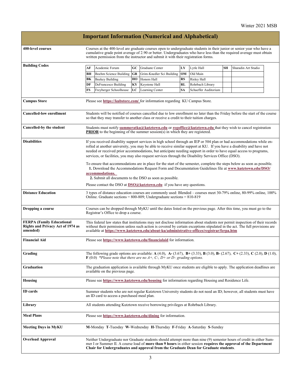|                                                                                          |                                                                                                                                                                                                                                                                                                                                                                                                                                                                                                                                                                                                         |                                                                                                                                                                                                  |    | <b>Important Information (Numerical and Alphabetical)</b>                                                                                                                                                                                                                                                                        |           |                      |           |                     |  |
|------------------------------------------------------------------------------------------|---------------------------------------------------------------------------------------------------------------------------------------------------------------------------------------------------------------------------------------------------------------------------------------------------------------------------------------------------------------------------------------------------------------------------------------------------------------------------------------------------------------------------------------------------------------------------------------------------------|--------------------------------------------------------------------------------------------------------------------------------------------------------------------------------------------------|----|----------------------------------------------------------------------------------------------------------------------------------------------------------------------------------------------------------------------------------------------------------------------------------------------------------------------------------|-----------|----------------------|-----------|---------------------|--|
| 400-level courses                                                                        | Courses at the 400-level are graduate courses open to undergraduate students in their junior or senior year who have a<br>cumulative grade point average of 2.90 or better. Undergraduates who have less than the required average must obtain<br>written permission from the instructor and submit it with their registration forms.                                                                                                                                                                                                                                                                   |                                                                                                                                                                                                  |    |                                                                                                                                                                                                                                                                                                                                  |           |                      |           |                     |  |
| <b>Building Codes</b>                                                                    | АF                                                                                                                                                                                                                                                                                                                                                                                                                                                                                                                                                                                                      | Academic Forum                                                                                                                                                                                   | GC | Graduate Center                                                                                                                                                                                                                                                                                                                  | LY        | Lytle Hall           | <b>SH</b> | Sharadin Art Studio |  |
|                                                                                          | BН                                                                                                                                                                                                                                                                                                                                                                                                                                                                                                                                                                                                      | <b>Boehm Science Building</b>                                                                                                                                                                    | GR | Grim-Knedler Sci Building                                                                                                                                                                                                                                                                                                        | OM        | Old Main             |           |                     |  |
|                                                                                          | BК                                                                                                                                                                                                                                                                                                                                                                                                                                                                                                                                                                                                      | <b>Beekey Building</b>                                                                                                                                                                           | HО | Honors Hall                                                                                                                                                                                                                                                                                                                      | RS        | Risley Hall          |           |                     |  |
|                                                                                          | DF                                                                                                                                                                                                                                                                                                                                                                                                                                                                                                                                                                                                      | DeFrancesco Building                                                                                                                                                                             | KY | Keystone Hall                                                                                                                                                                                                                                                                                                                    | RL        | Rohrbach Library     |           |                     |  |
|                                                                                          | FS                                                                                                                                                                                                                                                                                                                                                                                                                                                                                                                                                                                                      | Freyberger Schoolhouse                                                                                                                                                                           | LC | Learning Center                                                                                                                                                                                                                                                                                                                  | <b>SA</b> | Schaeffer Auditorium |           |                     |  |
| <b>Campus Store</b>                                                                      | Please see https://kubstore.com/ for information regarding KU Campus Store.                                                                                                                                                                                                                                                                                                                                                                                                                                                                                                                             |                                                                                                                                                                                                  |    |                                                                                                                                                                                                                                                                                                                                  |           |                      |           |                     |  |
| <b>Cancelled-low enrollment</b>                                                          | Students will be notified of courses cancelled due to low enrollment no later than the Friday before the start of the course<br>so that they may transfer to another class or receive a credit to their tuition charges.                                                                                                                                                                                                                                                                                                                                                                                |                                                                                                                                                                                                  |    |                                                                                                                                                                                                                                                                                                                                  |           |                      |           |                     |  |
| Cancelled-by the student                                                                 | Students must notify summeratku@kutztown.edu or regoffice@kutztown.edu that they wish to cancel registration<br><b>PRIOR</b> to the beginning of the summer session(s) in which they are registered.                                                                                                                                                                                                                                                                                                                                                                                                    |                                                                                                                                                                                                  |    |                                                                                                                                                                                                                                                                                                                                  |           |                      |           |                     |  |
| <b>Disabilities</b>                                                                      | If you received disability support services in high school through an IEP or 504 plan or had accommodations while en-<br>rolled at another university, you may be able to receive similar support at KU. If you have a disability and have not<br>needed or received prior accommodations, but anticipate needing support in order to have equal access to programs,<br>services, or facilities, you may also request services through the Disability Services Office (DSO).<br>To ensure that accommodations are in place for the start of the semester, complete the steps below as soon as possible. |                                                                                                                                                                                                  |    |                                                                                                                                                                                                                                                                                                                                  |           |                      |           |                     |  |
|                                                                                          |                                                                                                                                                                                                                                                                                                                                                                                                                                                                                                                                                                                                         | accommodations.                                                                                                                                                                                  |    | 1. Download the Accommodations Request Form and Documentation Guidelines file at www.kutztown.edu/DSO/<br>2. Submit all documents to the DSO as soon as possible.                                                                                                                                                                |           |                      |           |                     |  |
|                                                                                          |                                                                                                                                                                                                                                                                                                                                                                                                                                                                                                                                                                                                         |                                                                                                                                                                                                  |    | Please contact the DSO at $DSO(\hat{a})$ <b>kutztown.edu</b> if you have any questions.                                                                                                                                                                                                                                          |           |                      |           |                     |  |
| <b>Distance Education</b>                                                                |                                                                                                                                                                                                                                                                                                                                                                                                                                                                                                                                                                                                         | 3 types of distance education courses are commonly used: Blended - courses meet 30-79% online, 80-99% online, 100%<br>Online. Graduate sections = $800-809$ ; Undergraduate sections = $810-819$ |    |                                                                                                                                                                                                                                                                                                                                  |           |                      |           |                     |  |
| Dropping a course                                                                        | Courses can be dropped through MyKU until the dates listed on the previous page. After this time, you must go to the<br>Registrar's Office to drop a course.                                                                                                                                                                                                                                                                                                                                                                                                                                            |                                                                                                                                                                                                  |    |                                                                                                                                                                                                                                                                                                                                  |           |                      |           |                     |  |
| <b>FERPA (Family Educational</b><br><b>Rights and Privacy Act of 1974 as</b><br>amended) | This federal law states that institutions may not disclose information about students nor permit inspection of their records<br>without their permission unless such action is covered by certain exceptions stipulated in the act. The full provisions are<br>available at https://www.kutztown.edu/about-ku/administrative-offices/registrar/ferpa.htm                                                                                                                                                                                                                                                |                                                                                                                                                                                                  |    |                                                                                                                                                                                                                                                                                                                                  |           |                      |           |                     |  |
| <b>Financial Aid</b>                                                                     |                                                                                                                                                                                                                                                                                                                                                                                                                                                                                                                                                                                                         |                                                                                                                                                                                                  |    | Please see https://www.kutztown.edu/financialaid for information.                                                                                                                                                                                                                                                                |           |                      |           |                     |  |
| Grading                                                                                  |                                                                                                                                                                                                                                                                                                                                                                                                                                                                                                                                                                                                         |                                                                                                                                                                                                  |    | The following grade options are available: A (4.0), A- (3.67), B+ (3.33), B (3.0), B- (2.67), C+ (2.33), C (2.0), D (1.0),<br>$\mathbf{F}(0.0)$ *Please note that there are no A+, C-, D+ or D– grading options.                                                                                                                 |           |                      |           |                     |  |
| Graduation                                                                               | The graduation application is available through MyKU once students are eligible to apply. The application deadlines are<br>available on the previous page.                                                                                                                                                                                                                                                                                                                                                                                                                                              |                                                                                                                                                                                                  |    |                                                                                                                                                                                                                                                                                                                                  |           |                      |           |                     |  |
| Housing                                                                                  | Please see https://www.kutztown.edu/housing for information regarding Housing and Residence Life.                                                                                                                                                                                                                                                                                                                                                                                                                                                                                                       |                                                                                                                                                                                                  |    |                                                                                                                                                                                                                                                                                                                                  |           |                      |           |                     |  |
| <b>ID</b> cards                                                                          | Summer students who are not regular Kutztown University students do not need an ID; however, all students must have<br>an ID card to access a purchased meal plan.                                                                                                                                                                                                                                                                                                                                                                                                                                      |                                                                                                                                                                                                  |    |                                                                                                                                                                                                                                                                                                                                  |           |                      |           |                     |  |
| Library                                                                                  | All students attending Kutztown receive borrowing privileges at Rohrbach Library.                                                                                                                                                                                                                                                                                                                                                                                                                                                                                                                       |                                                                                                                                                                                                  |    |                                                                                                                                                                                                                                                                                                                                  |           |                      |           |                     |  |
| <b>Meal Plans</b>                                                                        | Please see https://www.kutztown.edu/dining for information.                                                                                                                                                                                                                                                                                                                                                                                                                                                                                                                                             |                                                                                                                                                                                                  |    |                                                                                                                                                                                                                                                                                                                                  |           |                      |           |                     |  |
| <b>Meeting Days in MyKU</b>                                                              |                                                                                                                                                                                                                                                                                                                                                                                                                                                                                                                                                                                                         |                                                                                                                                                                                                  |    | M-Monday T-Tuesday W-Wednesday H-Thursday F-Friday A-Saturday S-Sunday                                                                                                                                                                                                                                                           |           |                      |           |                     |  |
| <b>Overload Approval</b>                                                                 |                                                                                                                                                                                                                                                                                                                                                                                                                                                                                                                                                                                                         |                                                                                                                                                                                                  |    | Neither Undergraduate nor Graduate students should attempt more than nine (9) semester hours of credit in either Sum-<br>mer I or Summer II. A course load of more than 9 hours in either session requires the approval of the Department<br>Chair for Undergraduates and approval from the Graduate Dean for Graduate students. |           |                      |           |                     |  |

 $\mathbf{I}$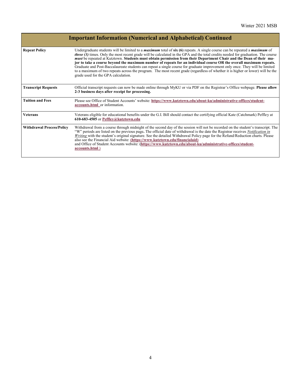|                                  | <b>Important Information (Numerical and Alphabetical) Continued</b>                                                                                                                                                                                                                                                                                                                                                                                                                                                                                                                                                                                                                                                                                                                                                                           |
|----------------------------------|-----------------------------------------------------------------------------------------------------------------------------------------------------------------------------------------------------------------------------------------------------------------------------------------------------------------------------------------------------------------------------------------------------------------------------------------------------------------------------------------------------------------------------------------------------------------------------------------------------------------------------------------------------------------------------------------------------------------------------------------------------------------------------------------------------------------------------------------------|
| <b>Repeat Policy</b>             | Undergraduate students will be limited to a <i>maximum</i> total of $\sin(6)$ repeats. A single course can be repeated a <i>maximum</i> of<br><i>three (3)</i> times. Only the most recent grade will be calculated in the GPA and the total credits needed for graduation. The course<br>must be repeated at Kutztown. Students must obtain permission from their Department Chair and the Dean of their ma-<br>jor to take a course beyond the maximum number of repeats for an individual course OR the overall maximum repeats.<br>Graduate and Post-Baccalaureate students can repeat a single course for graduate improvement only once. They will be limited<br>to a maximum of two repeats across the program. The most recent grade (regardless of whether it is higher or lower) will be the<br>grade used for the GPA calculation. |
| <b>Transcript Requests</b>       | Official transcript requests can now be made online through MyKU or via PDF on the Registrar's Office webpage. Please allow<br>2-3 business days after receipt for processing.                                                                                                                                                                                                                                                                                                                                                                                                                                                                                                                                                                                                                                                                |
| <b>Tuition and Fees</b>          | Please see Office of Student Accounts' website: https://www.kutztown.edu/about-ku/administrative-offices/student-<br>accounts.html or information.                                                                                                                                                                                                                                                                                                                                                                                                                                                                                                                                                                                                                                                                                            |
| <b>Veterans</b>                  | Veterans eligible for educational benefits under the G.I. Bill should contact the certifying official Kate (Catchmark) Peffley at<br>610-683-4505 or Peffley@kutztown.edu                                                                                                                                                                                                                                                                                                                                                                                                                                                                                                                                                                                                                                                                     |
| <b>Withdrawal Process/Policy</b> | Withdrawal from a course through midnight of the second day of the session will not be recorded on the student's transcript. The<br>"W" periods are listed on the previous page. The official date of withdrawal is the date the Registrar receives Notification in<br>Writing with the student's original signature. See the detailed Withdrawal Policy page for the Refund/Reduction charts. Please<br>also see the Financial Aid website: (https://www.kutztown.edu/financialaid)<br>and Office of Student Accounts website: (https://www.kutztown.edu/about-ku/administrative-offices/student-<br>accounts.html)                                                                                                                                                                                                                          |